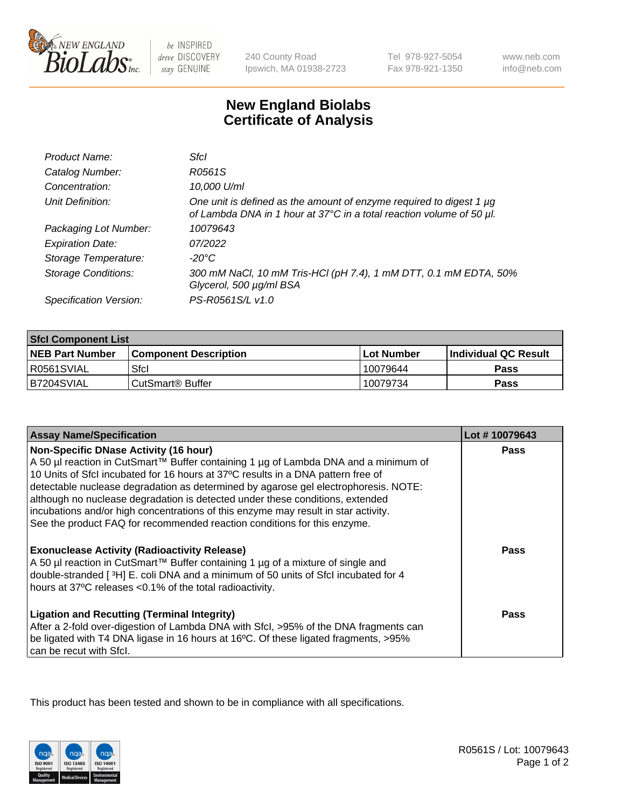

 $be$  INSPIRED drive DISCOVERY stay GENUINE

240 County Road Ipswich, MA 01938-2723 Tel 978-927-5054 Fax 978-921-1350

www.neb.com info@neb.com

## **New England Biolabs Certificate of Analysis**

| Product Name:              | Sfcl                                                                                                                                             |
|----------------------------|--------------------------------------------------------------------------------------------------------------------------------------------------|
| Catalog Number:            | R0561S                                                                                                                                           |
| Concentration:             | 10,000 U/ml                                                                                                                                      |
| Unit Definition:           | One unit is defined as the amount of enzyme required to digest 1 $\mu$ g<br>of Lambda DNA in 1 hour at 37°C in a total reaction volume of 50 µl. |
| Packaging Lot Number:      | 10079643                                                                                                                                         |
| <b>Expiration Date:</b>    | 07/2022                                                                                                                                          |
| Storage Temperature:       | -20°C                                                                                                                                            |
| <b>Storage Conditions:</b> | 300 mM NaCl, 10 mM Tris-HCl (pH 7.4), 1 mM DTT, 0.1 mM EDTA, 50%<br>Glycerol, 500 µg/ml BSA                                                      |
| Specification Version:     | PS-R0561S/L v1.0                                                                                                                                 |

| <b>Sfcl Component List</b> |                              |              |                             |  |
|----------------------------|------------------------------|--------------|-----------------------------|--|
| <b>NEB Part Number</b>     | <b>Component Description</b> | l Lot Number | <b>Individual QC Result</b> |  |
| R0561SVIAL                 | Sfcl                         | 10079644     | Pass                        |  |
| B7204SVIAL                 | l CutSmart® Buffer           | 10079734     | Pass                        |  |

| <b>Assay Name/Specification</b>                                                                                                                                                                                                                                                                                                                                                                 | Lot #10079643 |
|-------------------------------------------------------------------------------------------------------------------------------------------------------------------------------------------------------------------------------------------------------------------------------------------------------------------------------------------------------------------------------------------------|---------------|
| <b>Non-Specific DNase Activity (16 hour)</b><br>A 50 µl reaction in CutSmart™ Buffer containing 1 µg of Lambda DNA and a minimum of<br>10 Units of SfcI incubated for 16 hours at 37°C results in a DNA pattern free of<br>detectable nuclease degradation as determined by agarose gel electrophoresis. NOTE:<br>although no nuclease degradation is detected under these conditions, extended | <b>Pass</b>   |
| incubations and/or high concentrations of this enzyme may result in star activity.<br>See the product FAQ for recommended reaction conditions for this enzyme.                                                                                                                                                                                                                                  |               |
| <b>Exonuclease Activity (Radioactivity Release)</b><br>A 50 µl reaction in CutSmart™ Buffer containing 1 µg of a mixture of single and<br>double-stranded [3H] E. coli DNA and a minimum of 50 units of Sfcl incubated for 4<br>hours at 37°C releases <0.1% of the total radioactivity.                                                                                                        | Pass          |
| <b>Ligation and Recutting (Terminal Integrity)</b><br>After a 2-fold over-digestion of Lambda DNA with Sfcl, >95% of the DNA fragments can<br>be ligated with T4 DNA ligase in 16 hours at 16°C. Of these ligated fragments, >95%<br>can be recut with Sfcl.                                                                                                                                    | Pass          |

This product has been tested and shown to be in compliance with all specifications.